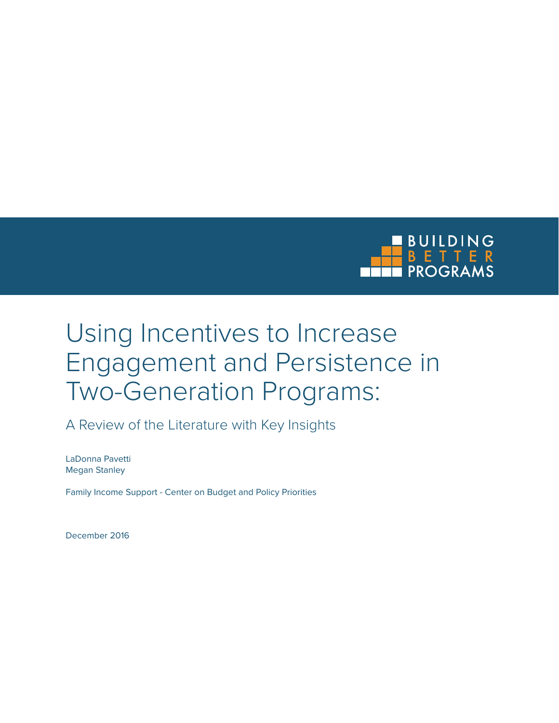

# Using Incentives to Increase Engagement and Persistence in Two-Generation Programs:

A Review of the Literature with Key Insights

LaDonna Pavetti Megan Stanley

Family Income Support - Center on Budget and Policy Priorities

December 2016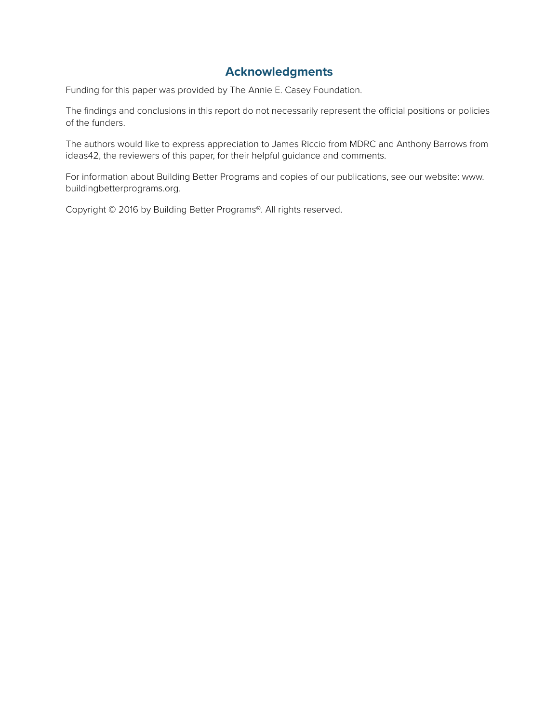### **Acknowledgments**

Funding for this paper was provided by The Annie E. Casey Foundation.

The findings and conclusions in this report do not necessarily represent the official positions or policies of the funders.

The authors would like to express appreciation to James Riccio from MDRC and Anthony Barrows from ideas42, the reviewers of this paper, for their helpful guidance and comments.

For information about Building Better Programs and copies of our publications, see our website: www. buildingbetterprograms.org.

Copyright © 2016 by Building Better Programs®. All rights reserved.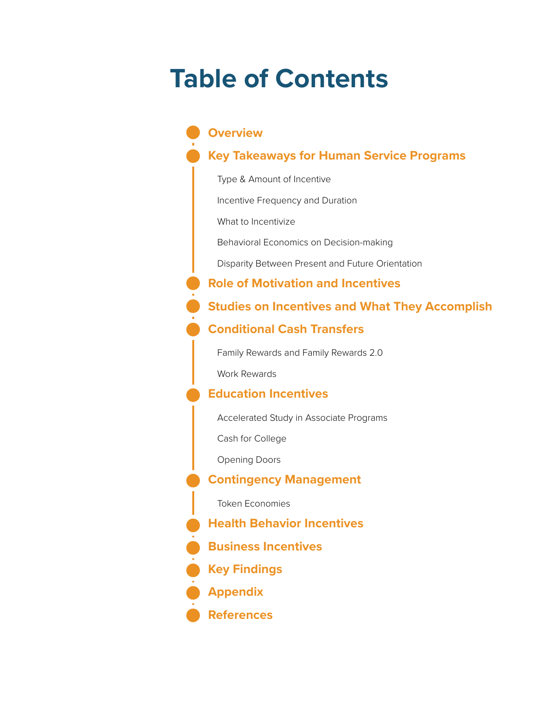# **Table of Contents**

### **Overview**

### **Key Takeaways for Human Service Programs**

Type & Amount of Incentive

Incentive Frequency and Duration

What to Incentivize

Behavioral Economics on Decision-making

Disparity Between Present and Future Orientation

**Role of Motivation and Incentives**

### **Studies on Incentives and What They Accomplish**

### **Conditional Cash Transfers**

Family Rewards and Family Rewards 2.0

Work Rewards

### **Education Incentives**

Accelerated Study in Associate Programs

Cash for College

Opening Doors

### **Contingency Management**

Token Economies

**Health Behavior Incentives**

**Business Incentives**

**Key Findings**

**Appendix**

**References**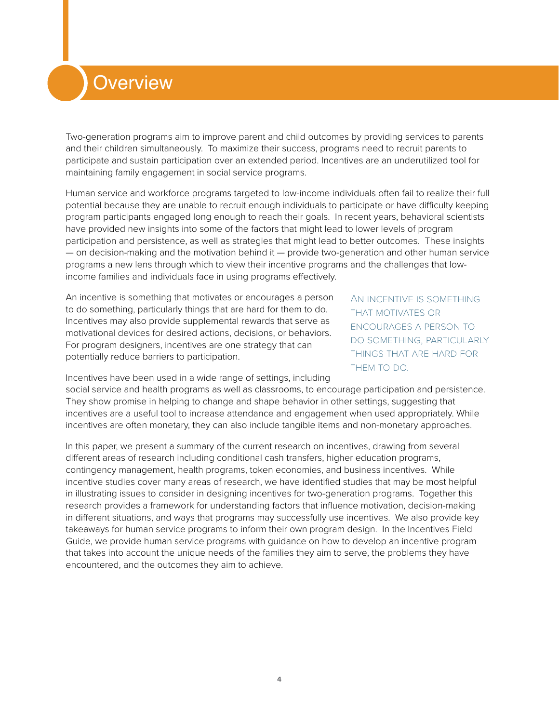## **Overview**

Two-generation programs aim to improve parent and child outcomes by providing services to parents and their children simultaneously. To maximize their success, programs need to recruit parents to participate and sustain participation over an extended period. Incentives are an underutilized tool for maintaining family engagement in social service programs.

Human service and workforce programs targeted to low-income individuals often fail to realize their full potential because they are unable to recruit enough individuals to participate or have difficulty keeping program participants engaged long enough to reach their goals. In recent years, behavioral scientists have provided new insights into some of the factors that might lead to lower levels of program participation and persistence, as well as strategies that might lead to better outcomes. These insights  $-$  on decision-making and the motivation behind it  $-$  provide two-generation and other human service programs a new lens through which to view their incentive programs and the challenges that lowincome families and individuals face in using programs effectively.

An incentive is something that motivates or encourages a person to do something, particularly things that are hard for them to do. Incentives may also provide supplemental rewards that serve as motivational devices for desired actions, decisions, or behaviors. For program designers, incentives are one strategy that can potentially reduce barriers to participation.

An incentive is something that motivates or encourages a person to do something, particularly things that are hard for THEM TO DO.

Incentives have been used in a wide range of settings, including

social service and health programs as well as classrooms, to encourage participation and persistence. They show promise in helping to change and shape behavior in other settings, suggesting that incentives are a useful tool to increase attendance and engagement when used appropriately. While incentives are often monetary, they can also include tangible items and non-monetary approaches.

In this paper, we present a summary of the current research on incentives, drawing from several different areas of research including conditional cash transfers, higher education programs, contingency management, health programs, token economies, and business incentives. While incentive studies cover many areas of research, we have identified studies that may be most helpful in illustrating issues to consider in designing incentives for two-generation programs. Together this research provides a framework for understanding factors that influence motivation, decision-making in different situations, and ways that programs may successfully use incentives. We also provide key takeaways for human service programs to inform their own program design. In the Incentives Field Guide, we provide human service programs with guidance on how to develop an incentive program that takes into account the unique needs of the families they aim to serve, the problems they have encountered, and the outcomes they aim to achieve.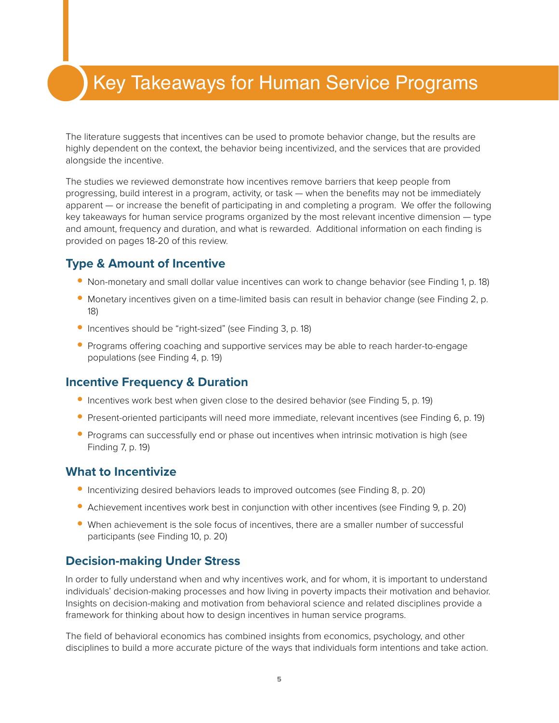## Key Takeaways for Human Service Programs

The literature suggests that incentives can be used to promote behavior change, but the results are highly dependent on the context, the behavior being incentivized, and the services that are provided alongside the incentive.

The studies we reviewed demonstrate how incentives remove barriers that keep people from progressing, build interest in a program, activity, or task — when the benefits may not be immediately apparent — or increase the benefit of participating in and completing a program. We offer the following key takeaways for human service programs organized by the most relevant incentive dimension — type and amount, frequency and duration, and what is rewarded. Additional information on each finding is provided on pages 18-20 of this review.

### **Type & Amount of Incentive**

- **•** Non-monetary and small dollar value incentives can work to change behavior (see Finding 1, p. 18)
- **•** Monetary incentives given on a time-limited basis can result in behavior change (see Finding 2, p. 18)
- **•** Incentives should be "right-sized" (see Finding 3, p. 18)
- **•** Programs offering coaching and supportive services may be able to reach harder-to-engage populations (see Finding 4, p. 19)

### **Incentive Frequency & Duration**

- **•** Incentives work best when given close to the desired behavior (see Finding 5, p. 19)
- Present-oriented participants will need more immediate, relevant incentives (see Finding 6, p. 19)
- **•** Programs can successfully end or phase out incentives when intrinsic motivation is high (see Finding 7, p. 19)

### **What to Incentivize**

- **•** Incentivizing desired behaviors leads to improved outcomes (see Finding 8, p. 20)
- **•** Achievement incentives work best in conjunction with other incentives (see Finding 9, p. 20)
- When achievement is the sole focus of incentives, there are a smaller number of successful participants (see Finding 10, p. 20)

### **Decision-making Under Stress**

In order to fully understand when and why incentives work, and for whom, it is important to understand individuals' decision-making processes and how living in poverty impacts their motivation and behavior. Insights on decision-making and motivation from behavioral science and related disciplines provide a framework for thinking about how to design incentives in human service programs.

The field of behavioral economics has combined insights from economics, psychology, and other disciplines to build a more accurate picture of the ways that individuals form intentions and take action.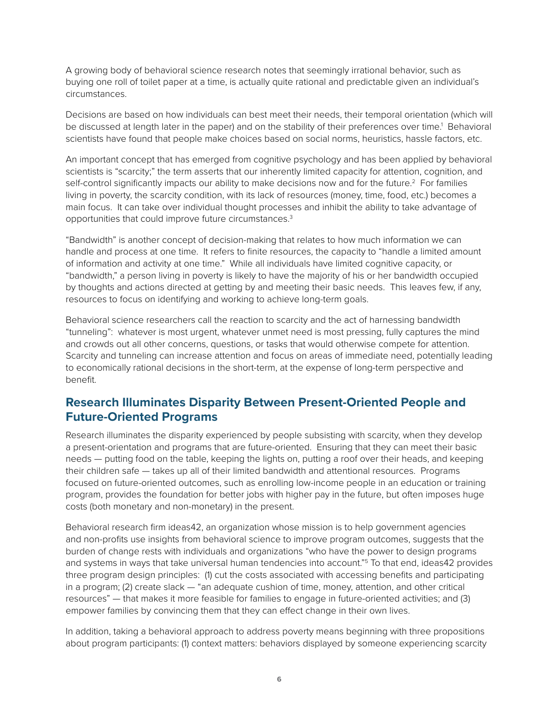A growing body of behavioral science research notes that seemingly irrational behavior, such as buying one roll of toilet paper at a time, is actually quite rational and predictable given an individual's circumstances.

Decisions are based on how individuals can best meet their needs, their temporal orientation (which will be discussed at length later in the paper) and on the stability of their preferences over time.<sup>1</sup> Behavioral scientists have found that people make choices based on social norms, heuristics, hassle factors, etc.

An important concept that has emerged from cognitive psychology and has been applied by behavioral scientists is "scarcity;" the term asserts that our inherently limited capacity for attention, cognition, and self-control significantly impacts our ability to make decisions now and for the future.<sup>2</sup> For families living in poverty, the scarcity condition, with its lack of resources (money, time, food, etc.) becomes a main focus. It can take over individual thought processes and inhibit the ability to take advantage of opportunities that could improve future circumstances.<sup>3</sup>

"Bandwidth" is another concept of decision-making that relates to how much information we can handle and process at one time. It refers to finite resources, the capacity to "handle a limited amount of information and activity at one time." While all individuals have limited cognitive capacity, or "bandwidth," a person living in poverty is likely to have the majority of his or her bandwidth occupied by thoughts and actions directed at getting by and meeting their basic needs. This leaves few, if any, resources to focus on identifying and working to achieve long-term goals.

Behavioral science researchers call the reaction to scarcity and the act of harnessing bandwidth "tunneling": whatever is most urgent, whatever unmet need is most pressing, fully captures the mind and crowds out all other concerns, questions, or tasks that would otherwise compete for attention. Scarcity and tunneling can increase attention and focus on areas of immediate need, potentially leading to economically rational decisions in the short-term, at the expense of long-term perspective and benefit.

### **Research Illuminates Disparity Between Present-Oriented People and Future-Oriented Programs**

Research illuminates the disparity experienced by people subsisting with scarcity, when they develop a present-orientation and programs that are future-oriented. Ensuring that they can meet their basic needs — putting food on the table, keeping the lights on, putting a roof over their heads, and keeping their children safe — takes up all of their limited bandwidth and attentional resources. Programs focused on future-oriented outcomes, such as enrolling low-income people in an education or training program, provides the foundation for better jobs with higher pay in the future, but often imposes huge costs (both monetary and non-monetary) in the present.

Behavioral research firm ideas42, an organization whose mission is to help government agencies and non-profits use insights from behavioral science to improve program outcomes, suggests that the burden of change rests with individuals and organizations "who have the power to design programs and systems in ways that take universal human tendencies into account."5 To that end, ideas42 provides three program design principles: (1) cut the costs associated with accessing benefits and participating in a program; (2) create slack — "an adequate cushion of time, money, attention, and other critical resources" — that makes it more feasible for families to engage in future-oriented activities; and (3) empower families by convincing them that they can effect change in their own lives.

In addition, taking a behavioral approach to address poverty means beginning with three propositions about program participants: (1) context matters: behaviors displayed by someone experiencing scarcity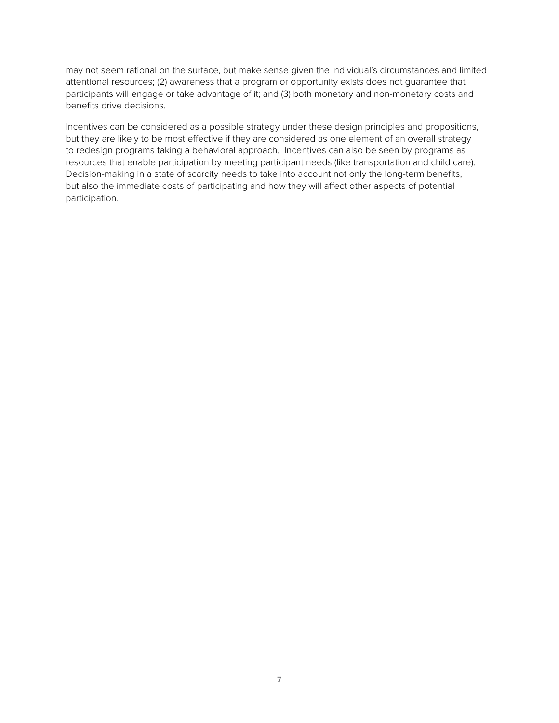may not seem rational on the surface, but make sense given the individual's circumstances and limited attentional resources; (2) awareness that a program or opportunity exists does not guarantee that participants will engage or take advantage of it; and (3) both monetary and non-monetary costs and benefits drive decisions.

Incentives can be considered as a possible strategy under these design principles and propositions, but they are likely to be most effective if they are considered as one element of an overall strategy to redesign programs taking a behavioral approach. Incentives can also be seen by programs as resources that enable participation by meeting participant needs (like transportation and child care). Decision-making in a state of scarcity needs to take into account not only the long-term benefits, but also the immediate costs of participating and how they will affect other aspects of potential participation.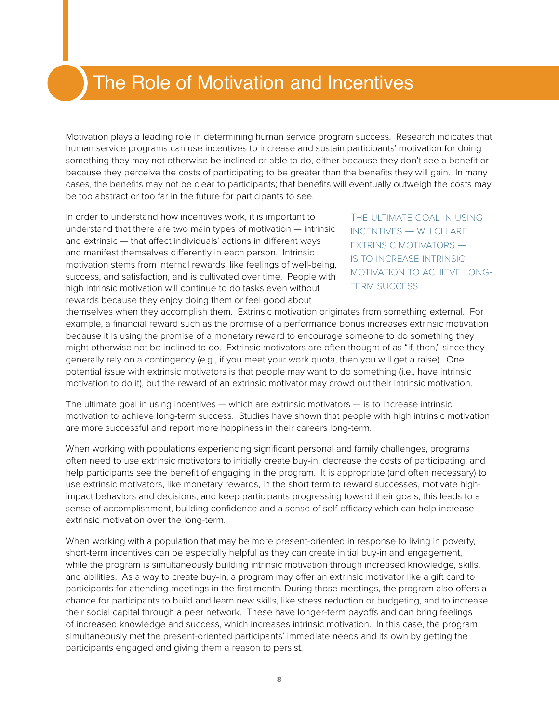## The Role of Motivation and Incentives

Motivation plays a leading role in determining human service program success. Research indicates that human service programs can use incentives to increase and sustain participants' motivation for doing something they may not otherwise be inclined or able to do, either because they don't see a benefit or because they perceive the costs of participating to be greater than the benefits they will gain. In many cases, the benefits may not be clear to participants; that benefits will eventually outweigh the costs may be too abstract or too far in the future for participants to see.

In order to understand how incentives work, it is important to understand that there are two main types of motivation — intrinsic and extrinsic — that affect individuals' actions in different ways and manifest themselves differently in each person. Intrinsic motivation stems from internal rewards, like feelings of well-being, success, and satisfaction, and is cultivated over time. People with high intrinsic motivation will continue to do tasks even without rewards because they enjoy doing them or feel good about

The ultimate goal in using incentives — which are extrinsic motivators is to increase intrinsic motivation to achieve long-**TERM SUCCESS.** 

themselves when they accomplish them. Extrinsic motivation originates from something external. For example, a financial reward such as the promise of a performance bonus increases extrinsic motivation because it is using the promise of a monetary reward to encourage someone to do something they might otherwise not be inclined to do. Extrinsic motivators are often thought of as "if, then," since they generally rely on a contingency (e.g., if you meet your work quota, then you will get a raise). One potential issue with extrinsic motivators is that people may want to do something (i.e., have intrinsic motivation to do it), but the reward of an extrinsic motivator may crowd out their intrinsic motivation.

The ultimate goal in using incentives — which are extrinsic motivators — is to increase intrinsic motivation to achieve long-term success. Studies have shown that people with high intrinsic motivation are more successful and report more happiness in their careers long-term.

When working with populations experiencing significant personal and family challenges, programs often need to use extrinsic motivators to initially create buy-in, decrease the costs of participating, and help participants see the benefit of engaging in the program. It is appropriate (and often necessary) to use extrinsic motivators, like monetary rewards, in the short term to reward successes, motivate highimpact behaviors and decisions, and keep participants progressing toward their goals; this leads to a sense of accomplishment, building confidence and a sense of self-efficacy which can help increase extrinsic motivation over the long-term.

When working with a population that may be more present-oriented in response to living in poverty, short-term incentives can be especially helpful as they can create initial buy-in and engagement, while the program is simultaneously building intrinsic motivation through increased knowledge, skills, and abilities. As a way to create buy-in, a program may offer an extrinsic motivator like a gift card to participants for attending meetings in the first month. During those meetings, the program also offers a chance for participants to build and learn new skills, like stress reduction or budgeting, and to increase their social capital through a peer network. These have longer-term payoffs and can bring feelings of increased knowledge and success, which increases intrinsic motivation. In this case, the program simultaneously met the present-oriented participants' immediate needs and its own by getting the participants engaged and giving them a reason to persist.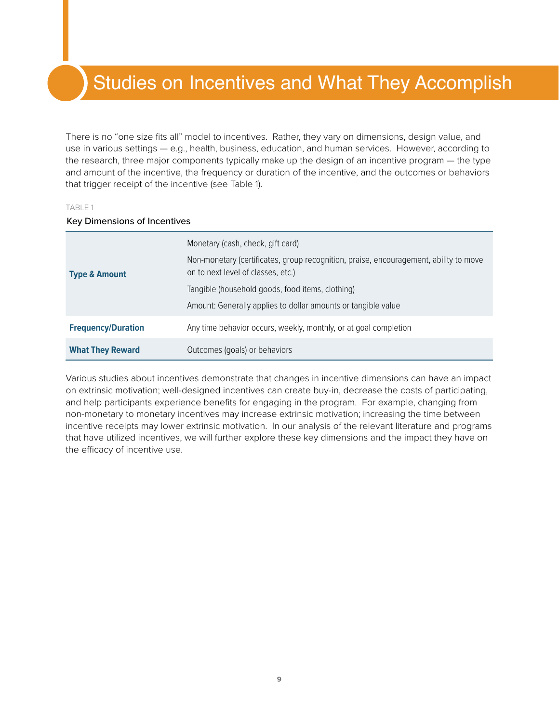## Studies on Incentives and What They Accomplish

There is no "one size fits all" model to incentives. Rather, they vary on dimensions, design value, and use in various settings — e.g., health, business, education, and human services. However, according to the research, three major components typically make up the design of an incentive program — the type and amount of the incentive, the frequency or duration of the incentive, and the outcomes or behaviors that trigger receipt of the incentive (see Table 1).

#### TABLE 1

#### Key Dimensions of Incentives

| <b>Type &amp; Amount</b>  | Monetary (cash, check, gift card)<br>Non-monetary (certificates, group recognition, praise, encouragement, ability to move<br>on to next level of classes, etc.)<br>Tangible (household goods, food items, clothing)<br>Amount: Generally applies to dollar amounts or tangible value |  |
|---------------------------|---------------------------------------------------------------------------------------------------------------------------------------------------------------------------------------------------------------------------------------------------------------------------------------|--|
| <b>Frequency/Duration</b> | Any time behavior occurs, weekly, monthly, or at goal completion                                                                                                                                                                                                                      |  |
| <b>What They Reward</b>   | Outcomes (goals) or behaviors                                                                                                                                                                                                                                                         |  |

Various studies about incentives demonstrate that changes in incentive dimensions can have an impact on extrinsic motivation; well-designed incentives can create buy-in, decrease the costs of participating, and help participants experience benefits for engaging in the program. For example, changing from non-monetary to monetary incentives may increase extrinsic motivation; increasing the time between incentive receipts may lower extrinsic motivation. In our analysis of the relevant literature and programs that have utilized incentives, we will further explore these key dimensions and the impact they have on the efficacy of incentive use.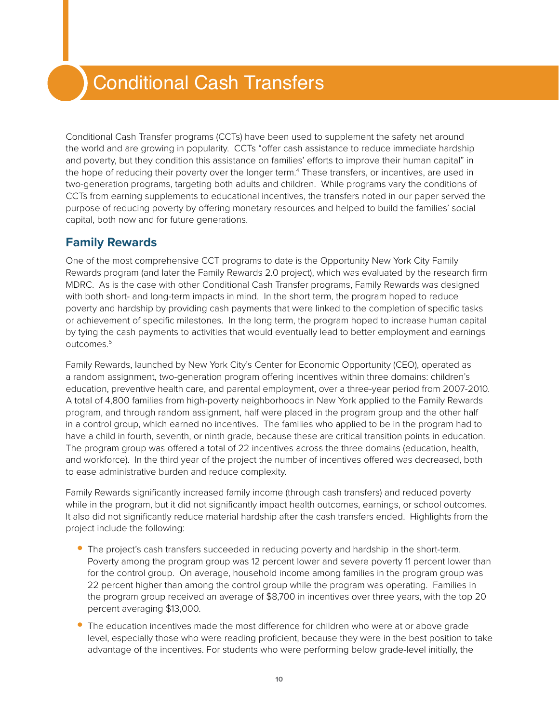## Conditional Cash Transfers

Conditional Cash Transfer programs (CCTs) have been used to supplement the safety net around the world and are growing in popularity. CCTs "offer cash assistance to reduce immediate hardship and poverty, but they condition this assistance on families' efforts to improve their human capital" in the hope of reducing their poverty over the longer term.<sup>4</sup> These transfers, or incentives, are used in two-generation programs, targeting both adults and children. While programs vary the conditions of CCTs from earning supplements to educational incentives, the transfers noted in our paper served the purpose of reducing poverty by offering monetary resources and helped to build the families' social capital, both now and for future generations.

### **Family Rewards**

One of the most comprehensive CCT programs to date is the Opportunity New York City Family Rewards program (and later the Family Rewards 2.0 project), which was evaluated by the research firm MDRC. As is the case with other Conditional Cash Transfer programs, Family Rewards was designed with both short- and long-term impacts in mind. In the short term, the program hoped to reduce poverty and hardship by providing cash payments that were linked to the completion of specific tasks or achievement of specific milestones. In the long term, the program hoped to increase human capital by tying the cash payments to activities that would eventually lead to better employment and earnings outcomes.5

Family Rewards, launched by New York City's Center for Economic Opportunity (CEO), operated as a random assignment, two-generation program offering incentives within three domains: children's education, preventive health care, and parental employment, over a three-year period from 2007-2010. A total of 4,800 families from high-poverty neighborhoods in New York applied to the Family Rewards program, and through random assignment, half were placed in the program group and the other half in a control group, which earned no incentives. The families who applied to be in the program had to have a child in fourth, seventh, or ninth grade, because these are critical transition points in education. The program group was offered a total of 22 incentives across the three domains (education, health, and workforce). In the third year of the project the number of incentives offered was decreased, both to ease administrative burden and reduce complexity.

Family Rewards significantly increased family income (through cash transfers) and reduced poverty while in the program, but it did not significantly impact health outcomes, earnings, or school outcomes. It also did not significantly reduce material hardship after the cash transfers ended. Highlights from the project include the following:

- **•** The project's cash transfers succeeded in reducing poverty and hardship in the short-term. Poverty among the program group was 12 percent lower and severe poverty 11 percent lower than for the control group. On average, household income among families in the program group was 22 percent higher than among the control group while the program was operating. Families in the program group received an average of \$8,700 in incentives over three years, with the top 20 percent averaging \$13,000.
- **•** The education incentives made the most difference for children who were at or above grade level, especially those who were reading proficient, because they were in the best position to take advantage of the incentives. For students who were performing below grade-level initially, the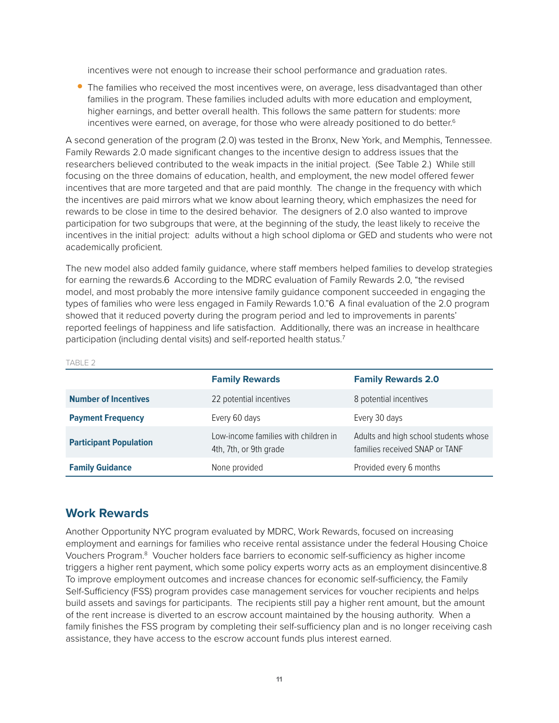incentives were not enough to increase their school performance and graduation rates.

<span id="page-10-0"></span>**•** The families who received the most incentives were, on average, less disadvantaged than other families in the program. These families included adults with more education and employment, higher earnings, and better overall health. This follows the same pattern for students: more incentives were earned, on average, for those who were already positioned to do better.<sup>6</sup>

A second generation of the program (2.0) was tested in the Bronx, New York, and Memphis, Tennessee. Family Rewards 2.0 made significant changes to the incentive design to address issues that the researchers believed contributed to the weak impacts in the initial project. (See Table 2.) While still focusing on the three domains of education, health, and employment, the new model offered fewer incentives that are more targeted and that are paid monthly. The change in the frequency with which the incentives are paid mirrors what we know about learning theory, which emphasizes the need for rewards to be close in time to the desired behavior. The designers of 2.0 also wanted to improve participation for two subgroups that were, at the beginning of the study, the least likely to receive the incentives in the initial project: adults without a high school diploma or GED and students who were not academically proficient.

The new model also added family guidance, where staff members helped families to develop strategies for earning the rewards.[6](#page-10-0) According to the MDRC evaluation of Family Rewards 2.0, "the revised model, and most probably the more intensive family guidance component succeeded in engaging the types of families who were less engaged in Family Rewards 1.0."[6](#page-10-0) A final evaluation of the 2.0 program showed that it reduced poverty during the program period and led to improvements in parents' reported feelings of happiness and life satisfaction. Additionally, there was an increase in healthcare participation (including dental visits) and self-reported health status.<sup>7</sup>

| エーレート ムー                      |                                                                |                                                                         |  |  |
|-------------------------------|----------------------------------------------------------------|-------------------------------------------------------------------------|--|--|
|                               | <b>Family Rewards</b>                                          | <b>Family Rewards 2.0</b>                                               |  |  |
| <b>Number of Incentives</b>   | 22 potential incentives                                        | 8 potential incentives                                                  |  |  |
| <b>Payment Frequency</b>      | Every 60 days                                                  | Every 30 days                                                           |  |  |
| <b>Participant Population</b> | Low-income families with children in<br>4th, 7th, or 9th grade | Adults and high school students whose<br>families received SNAP or TANF |  |  |
| <b>Family Guidance</b>        | None provided                                                  | Provided every 6 months                                                 |  |  |

#### TABLE 2

#### **Work Rewards**

<span id="page-10-1"></span>Another Opportunity NYC program evaluated by MDRC, Work Rewards, focused on increasing employment and earnings for families who receive rental assistance under the federal Housing Choice Vouchers Program.<sup>8</sup> Voucher holders face barriers to economic self-sufficiency as higher income triggers a higher rent payment, which some policy experts worry acts as an employment disincentive.[8](#page-10-1)  To improve employment outcomes and increase chances for economic self-sufficiency, the Family Self-Sufficiency (FSS) program provides case management services for voucher recipients and helps build assets and savings for participants. The recipients still pay a higher rent amount, but the amount of the rent increase is diverted to an escrow account maintained by the housing authority. When a family finishes the FSS program by completing their self-sufficiency plan and is no longer receiving cash assistance, they have access to the escrow account funds plus interest earned.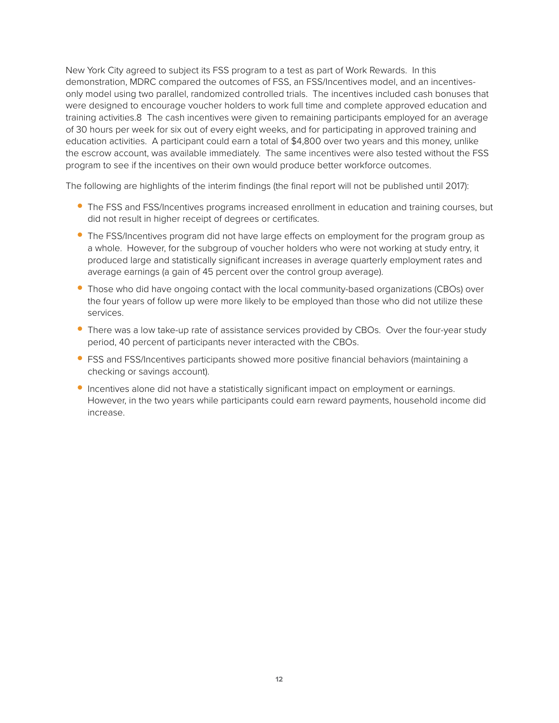New York City agreed to subject its FSS program to a test as part of Work Rewards. In this demonstration, MDRC compared the outcomes of FSS, an FSS/Incentives model, and an incentivesonly model using two parallel, randomized controlled trials. The incentives included cash bonuses that were designed to encourage voucher holders to work full time and complete approved education and training activities.[8](#page-10-1) The cash incentives were given to remaining participants employed for an average of 30 hours per week for six out of every eight weeks, and for participating in approved training and education activities. A participant could earn a total of \$4,800 over two years and this money, unlike the escrow account, was available immediately. The same incentives were also tested without the FSS program to see if the incentives on their own would produce better workforce outcomes.

The following are highlights of the interim findings (the final report will not be published until 2017):

- **•** The FSS and FSS/Incentives programs increased enrollment in education and training courses, but did not result in higher receipt of degrees or certificates.
- **•** The FSS/Incentives program did not have large effects on employment for the program group as a whole. However, for the subgroup of voucher holders who were not working at study entry, it produced large and statistically significant increases in average quarterly employment rates and average earnings (a gain of 45 percent over the control group average).
- Those who did have ongoing contact with the local community-based organizations (CBOs) over the four years of follow up were more likely to be employed than those who did not utilize these services.
- **•** There was a low take-up rate of assistance services provided by CBOs. Over the four-year study period, 40 percent of participants never interacted with the CBOs.
- **•** FSS and FSS/Incentives participants showed more positive financial behaviors (maintaining a checking or savings account).
- **•** Incentives alone did not have a statistically significant impact on employment or earnings. However, in the two years while participants could earn reward payments, household income did increase.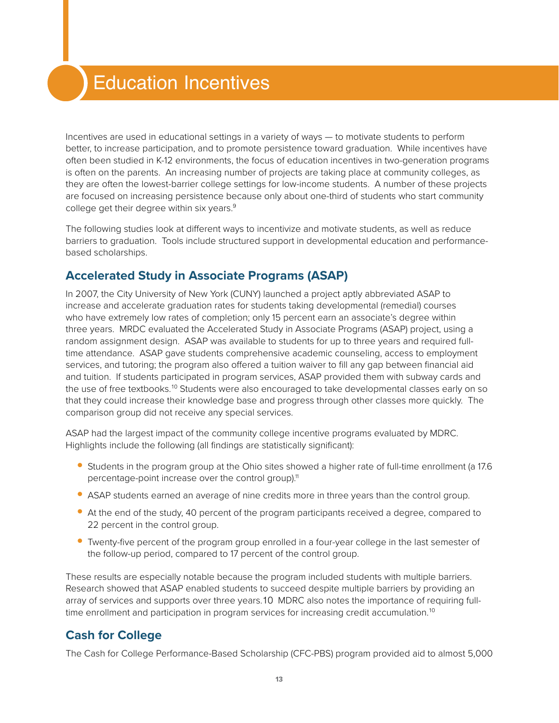## Education Incentives

Incentives are used in educational settings in a variety of ways — to motivate students to perform better, to increase participation, and to promote persistence toward graduation. While incentives have often been studied in K-12 environments, the focus of education incentives in two-generation programs is often on the parents. An increasing number of projects are taking place at community colleges, as they are often the lowest-barrier college settings for low-income students. A number of these projects are focused on increasing persistence because only about one-third of students who start community college get their degree within six years.<sup>9</sup>

<span id="page-12-0"></span>The following studies look at different ways to incentivize and motivate students, as well as reduce barriers to graduation. Tools include structured support in developmental education and performancebased scholarships.

### **Accelerated Study in Associate Programs (ASAP)**

In 2007, the City University of New York (CUNY) launched a project aptly abbreviated ASAP to increase and accelerate graduation rates for students taking developmental (remedial) courses who have extremely low rates of completion; only 15 percent earn an associate's degree within three years. MRDC evaluated the Accelerated Study in Associate Programs (ASAP) project, using a random assignment design. ASAP was available to students for up to three years and required fulltime attendance. ASAP gave students comprehensive academic counseling, access to employment services, and tutoring; the program also offered a tuition waiver to fill any gap between financial aid and tuition. If students participated in program services, ASAP provided them with subway cards and the use of free textbooks.<sup>10</sup> Students were also encouraged to take developmental classes early on so that they could increase their knowledge base and progress through other classes more quickly. The comparison group did not receive any special services.

ASAP had the largest impact of the community college incentive programs evaluated by MDRC. Highlights include the following (all findings are statistically significant):

- **•** Students in the program group at the Ohio sites showed a higher rate of full-time enrollment (a 17.6 percentage-point increase over the control group).<sup>11</sup>
- **•** ASAP students earned an average of nine credits more in three years than the control group.
- **•** At the end of the study, 40 percent of the program participants received a degree, compared to 22 percent in the control group.
- **•** Twenty-five percent of the program group enrolled in a four-year college in the last semester of the follow-up period, compared to 17 percent of the control group.

These results are especially notable because the program included students with multiple barriers. Research showed that ASAP enabled students to succeed despite multiple barriers by providing an array of services and supports over three years.10 MDRC also notes the importance of requiring fulltime enrollment and participation in program services for increasing credit accumulation.<sup>10</sup>

### **Cash for College**

The Cash for College Performance-Based Scholarship (CFC-PBS) program provided aid to almost 5,000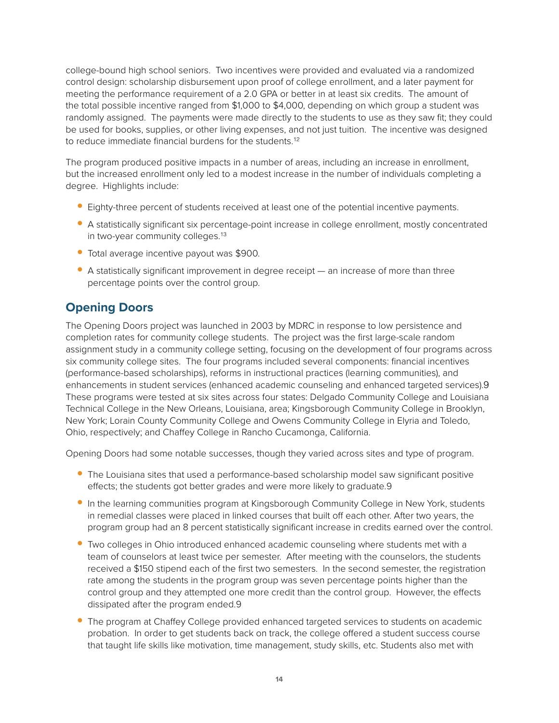college-bound high school seniors. Two incentives were provided and evaluated via a randomized control design: scholarship disbursement upon proof of college enrollment, and a later payment for meeting the performance requirement of a 2.0 GPA or better in at least six credits. The amount of the total possible incentive ranged from \$1,000 to \$4,000, depending on which group a student was randomly assigned. The payments were made directly to the students to use as they saw fit; they could be used for books, supplies, or other living expenses, and not just tuition. The incentive was designed to reduce immediate financial burdens for the students.<sup>12</sup>

The program produced positive impacts in a number of areas, including an increase in enrollment, but the increased enrollment only led to a modest increase in the number of individuals completing a degree. Highlights include:

- **•** Eighty-three percent of students received at least one of the potential incentive payments.
- A statistically significant six percentage-point increase in college enrollment, mostly concentrated in two-year community colleges.<sup>13</sup>
- **•** Total average incentive payout was \$900.
- **•** A statistically significant improvement in degree receipt an increase of more than three percentage points over the control group.

### **Opening Doors**

The Opening Doors project was launched in 2003 by MDRC in response to low persistence and completion rates for community college students. The project was the first large-scale random assignment study in a community college setting, focusing on the development of four programs across six community college sites. The four programs included several components: financial incentives (performance-based scholarships), reforms in instructional practices (learning communities), and enhancements in student services (enhanced academic counseling and enhanced targeted services).[9](#page-12-0) These programs were tested at six sites across four states: Delgado Community College and Louisiana Technical College in the New Orleans, Louisiana, area; Kingsborough Community College in Brooklyn, New York; Lorain County Community College and Owens Community College in Elyria and Toledo, Ohio, respectively; and Chaffey College in Rancho Cucamonga, California.

Opening Doors had some notable successes, though they varied across sites and type of program.

- **•** The Louisiana sites that used a performance-based scholarship model saw significant positive effects; the students got better grades and were more likely to graduate[.9](#page-12-0)
- **•** In the learning communities program at Kingsborough Community College in New York, students in remedial classes were placed in linked courses that built off each other. After two years, the program group had an 8 percent statistically significant increase in credits earned over the control.
- **•** Two colleges in Ohio introduced enhanced academic counseling where students met with a team of counselors at least twice per semester. After meeting with the counselors, the students received a \$150 stipend each of the first two semesters. In the second semester, the registration rate among the students in the program group was seven percentage points higher than the control group and they attempted one more credit than the control group. However, the effects dissipated after the program ended[.9](#page-12-0)
- **•** The program at Chaffey College provided enhanced targeted services to students on academic probation. In order to get students back on track, the college offered a student success course that taught life skills like motivation, time management, study skills, etc. Students also met with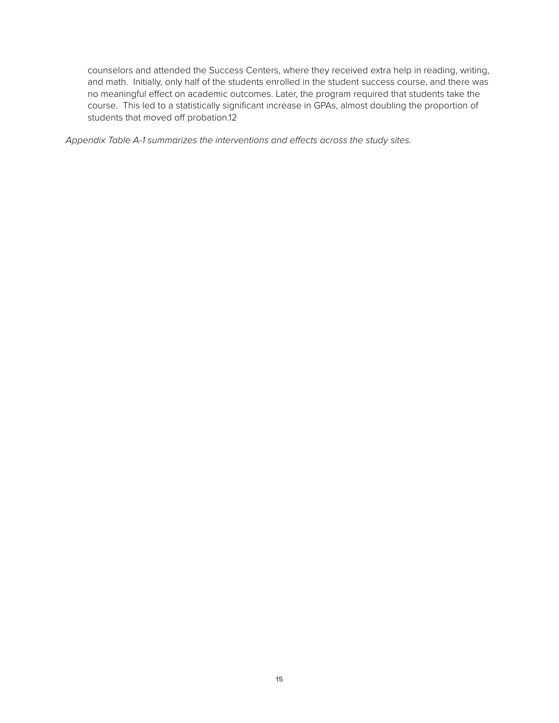counselors and attended the Success Centers, where they received extra help in reading, writing, and math. Initially, only half of the students enrolled in the student success course, and there was no meaningful effect on academic outcomes. Later, the program required that students take the course. This led to a statistically significant increase in GPAs, almost doubling the proportion of students that moved off probation.12

*Appendix Table A-1 summarizes the interventions and effects across the study sites.*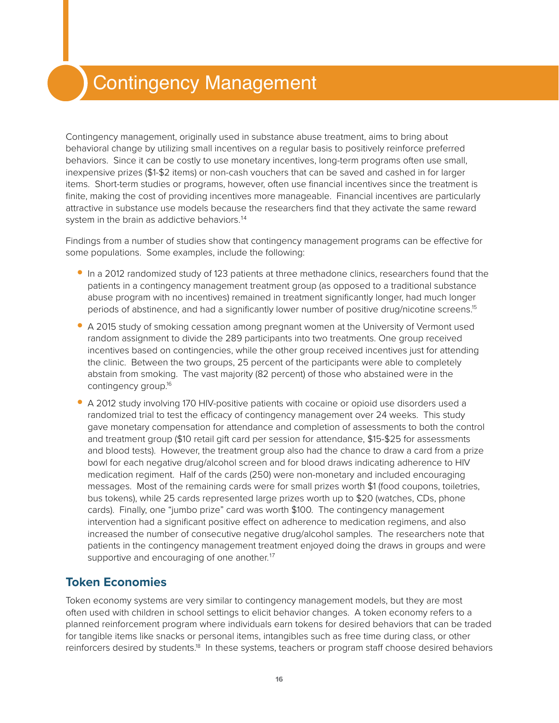## Contingency Management

Contingency management, originally used in substance abuse treatment, aims to bring about behavioral change by utilizing small incentives on a regular basis to positively reinforce preferred behaviors. Since it can be costly to use monetary incentives, long-term programs often use small, inexpensive prizes (\$1-\$2 items) or non-cash vouchers that can be saved and cashed in for larger items. Short-term studies or programs, however, often use financial incentives since the treatment is finite, making the cost of providing incentives more manageable. Financial incentives are particularly attractive in substance use models because the researchers find that they activate the same reward system in the brain as addictive behaviors.<sup>14</sup>

<span id="page-15-0"></span>Findings from a number of studies show that contingency management programs can be effective for some populations. Some examples, include the following:

- **•** In a 2012 randomized study of 123 patients at three methadone clinics, researchers found that the patients in a contingency management treatment group (as opposed to a traditional substance abuse program with no incentives) remained in treatment significantly longer, had much longer periods of abstinence, and had a significantly lower number of positive drug/nicotine screens.<sup>15</sup>
- **•** A 2015 study of smoking cessation among pregnant women at the University of Vermont used random assignment to divide the 289 participants into two treatments. One group received incentives based on contingencies, while the other group received incentives just for attending the clinic. Between the two groups, 25 percent of the participants were able to completely abstain from smoking. The vast majority (82 percent) of those who abstained were in the contingency group.16
- **•** A 2012 study involving 170 HIV-positive patients with cocaine or opioid use disorders used a randomized trial to test the efficacy of contingency management over 24 weeks. This study gave monetary compensation for attendance and completion of assessments to both the control and treatment group (\$10 retail gift card per session for attendance, \$15-\$25 for assessments and blood tests). However, the treatment group also had the chance to draw a card from a prize bowl for each negative drug/alcohol screen and for blood draws indicating adherence to HIV medication regiment. Half of the cards (250) were non-monetary and included encouraging messages. Most of the remaining cards were for small prizes worth \$1 (food coupons, toiletries, bus tokens), while 25 cards represented large prizes worth up to \$20 (watches, CDs, phone cards). Finally, one "jumbo prize" card was worth \$100. The contingency management intervention had a significant positive effect on adherence to medication regimens, and also increased the number of consecutive negative drug/alcohol samples. The researchers note that patients in the contingency management treatment enjoyed doing the draws in groups and were supportive and encouraging of one another.<sup>17</sup>

### **Token Economies**

Token economy systems are very similar to contingency management models, but they are most often used with children in school settings to elicit behavior changes. A token economy refers to a planned reinforcement program where individuals earn tokens for desired behaviors that can be traded for tangible items like snacks or personal items, intangibles such as free time during class, or other reinforcers desired by students.18 In these systems, teachers or program staff choose desired behaviors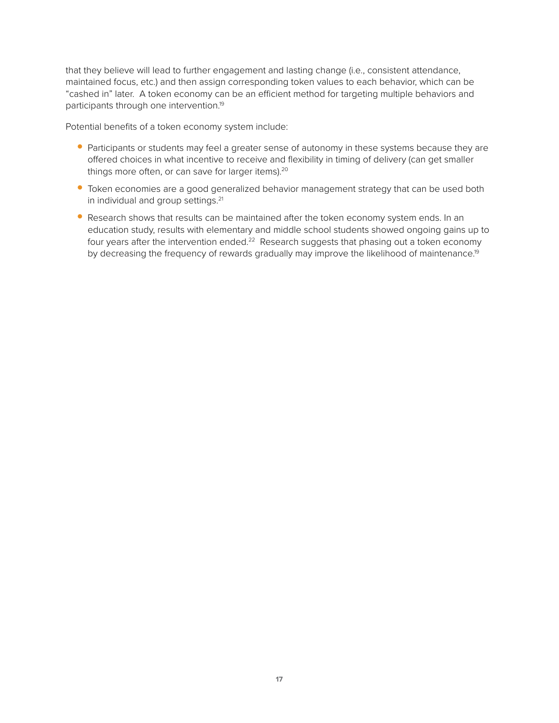that they believe will lead to further engagement and lasting change (i.e., consistent attendance, maintained focus, etc.) and then assign corresponding token values to each behavior, which can be "cashed in" later. A token economy can be an efficient method for targeting multiple behaviors and participants through one intervention.19

<span id="page-16-0"></span>Potential benefits of a token economy system include:

- Participants or students may feel a greater sense of autonomy in these systems because they are offered choices in what incentive to receive and flexibility in timing of delivery (can get smaller things more often, or can save for larger items).<sup>20</sup>
- **•** Token economies are a good generalized behavior management strategy that can be used both in individual and group settings.<sup>21</sup>
- **•** Research shows that results can be maintained after the token economy system ends. In an education study, results with elementary and middle school students showed ongoing gains up to four years after the intervention ended.<sup>22</sup> Research suggests that phasing out a token economy by decreasing the frequency of rewards gradually may improve the likelihood of maintenance.<sup>19</sup>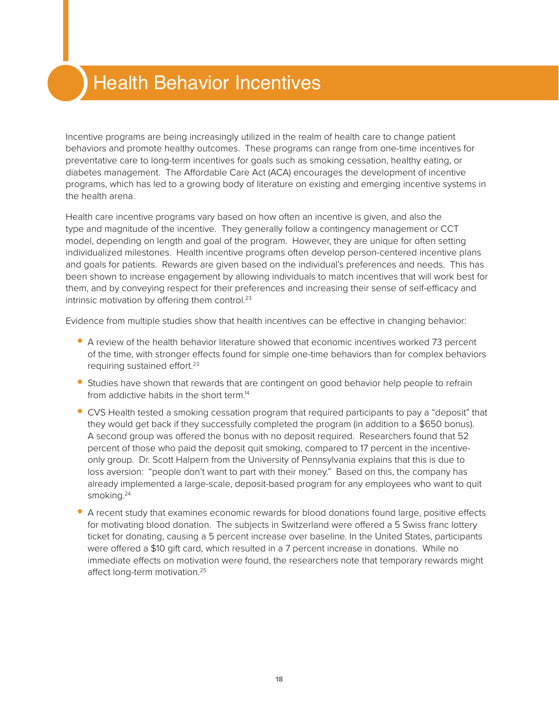## Health Behavior Incentives

Incentive programs are being increasingly utilized in the realm of health care to change patient behaviors and promote healthy outcomes. These programs can range from one-time incentives for preventative care to long-term incentives for goals such as smoking cessation, healthy eating, or diabetes management. The Affordable Care Act (ACA) encourages the development of incentive programs, which has led to a growing body of literature on existing and emerging incentive systems in the health arena.

Health care incentive programs vary based on how often an incentive is given, and also the type and magnitude of the incentive. They generally follow a contingency management or CCT model, depending on length and goal of the program. However, they are unique for often setting individualized milestones. Health incentive programs often develop person-centered incentive plans and goals for patients. Rewards are given based on the individual's preferences and needs. This has been shown to increase engagement by allowing individuals to match incentives that will work best for them, and by conveying respect for their preferences and increasing their sense of self-efficacy and intrinsic motivation by offering them control.<sup>23</sup>

<span id="page-17-0"></span>Evidence from multiple studies show that health incentives can be effective in changing behavior:

- **•** A review of the health behavior literature showed that economic incentives worked 73 percent of the time, with stronger effects found for simple one-time behaviors than for complex behaviors requiring sustained effort.<sup>23</sup>
- **•** Studies have shown that rewards that are contingent on good behavior help people to refrain from addictive habits in the short term.<sup>14</sup>
- **•** CVS Health tested a smoking cessation program that required participants to pay a "deposit" that they would get back if they successfully completed the program (in addition to a \$650 bonus). A second group was offered the bonus with no deposit required. Researchers found that 52 percent of those who paid the deposit quit smoking, compared to 17 percent in the incentiveonly group. Dr. Scott Halpern from the University of Pennsylvania explains that this is due to loss aversion: "people don't want to part with their money." Based on this, the company has already implemented a large-scale, deposit-based program for any employees who want to quit smoking.<sup>24</sup>
- **•** A recent study that examines economic rewards for blood donations found large, positive effects for motivating blood donation. The subjects in Switzerland were offered a 5 Swiss franc lottery ticket for donating, causing a 5 percent increase over baseline. In the United States, participants were offered a \$10 gift card, which resulted in a 7 percent increase in donations. While no immediate effects on motivation were found, the researchers note that temporary rewards might affect long-term motivation.<sup>25</sup>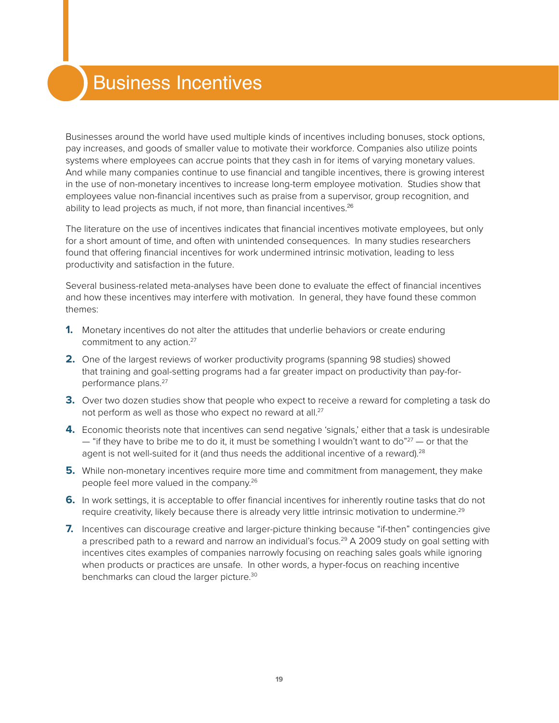## Business Incentives

Businesses around the world have used multiple kinds of incentives including bonuses, stock options, pay increases, and goods of smaller value to motivate their workforce. Companies also utilize points systems where employees can accrue points that they cash in for items of varying monetary values. And while many companies continue to use financial and tangible incentives, there is growing interest in the use of non-monetary incentives to increase long-term employee motivation. Studies show that employees value non-financial incentives such as praise from a supervisor, group recognition, and ability to lead projects as much, if not more, than financial incentives. $26$ 

<span id="page-18-1"></span>The literature on the use of incentives indicates that financial incentives motivate employees, but only for a short amount of time, and often with unintended consequences. In many studies researchers found that offering financial incentives for work undermined intrinsic motivation, leading to less productivity and satisfaction in the future.

Several business-related meta-analyses have been done to evaluate the effect of financial incentives and how these incentives may interfere with motivation. In general, they have found these common themes:

- <span id="page-18-0"></span>**1.** Monetary incentives do not alter the attitudes that underlie behaviors or create enduring commitment to any action.<sup>27</sup>
- **2.** One of the largest reviews of worker productivity programs (spanning 98 studies) showed that training and goal-setting programs had a far greater impact on productivity than pay-forperformance plans.<sup>27</sup>
- **3.** Over two dozen studies show that people who expect to receive a reward for completing a task do not perform as well as those who expect no reward at all.<sup>[27](#page-18-0)</sup>
- **4.** Economic theorists note that incentives can send negative 'signals,' either that a task is undesirable  $-$  "if they have to bribe me to do it, it must be something I wouldn't want to do" $27 -$  or that the agent is not well-suited for it (and thus needs the additional incentive of a reward).<sup>28</sup>
- **5.** While non-monetary incentives require more time and commitment from management, they make people feel more valued in the company[.26](#page-18-1)
- <span id="page-18-2"></span>**6.** In work settings, it is acceptable to offer financial incentives for inherently routine tasks that do not require creativity, likely because there is already very little intrinsic motivation to undermine.<sup>29</sup>
- **7.** Incentives can discourage creative and larger-picture thinking because "if-then" contingencies give a prescribed path to a reward and narrow an individual's focus.<sup>29</sup> A 2009 study on goal setting with incentives cites examples of companies narrowly focusing on reaching sales goals while ignoring when products or practices are unsafe. In other words, a hyper-focus on reaching incentive benchmarks can cloud the larger picture.<sup>30</sup>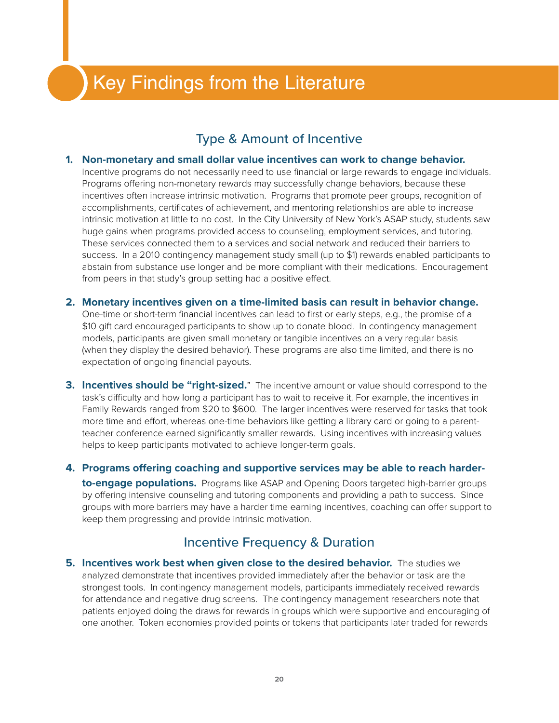## Key Findings from the Literature

### Type & Amount of Incentive

#### **1. Non-monetary and small dollar value incentives can work to change behavior.**

Incentive programs do not necessarily need to use financial or large rewards to engage individuals. Programs offering non-monetary rewards may successfully change behaviors, because these incentives often increase intrinsic motivation. Programs that promote peer groups, recognition of accomplishments, certificates of achievement, and mentoring relationships are able to increase intrinsic motivation at little to no cost. In the City University of New York's ASAP study, students saw huge gains when programs provided access to counseling, employment services, and tutoring. These services connected them to a services and social network and reduced their barriers to success. In a 2010 contingency management study small (up to \$1) rewards enabled participants to abstain from substance use longer and be more compliant with their medications. Encouragement from peers in that study's group setting had a positive effect.

- **2. Monetary incentives given on a time-limited basis can result in behavior change.**  One-time or short-term financial incentives can lead to first or early steps, e.g., the promise of a \$10 gift card encouraged participants to show up to donate blood. In contingency management models, participants are given small monetary or tangible incentives on a very regular basis (when they display the desired behavior). These programs are also time limited, and there is no expectation of ongoing financial payouts.
- **3. Incentives should be "right-sized.**" The incentive amount or value should correspond to the task's difficulty and how long a participant has to wait to receive it. For example, the incentives in Family Rewards ranged from \$20 to \$600. The larger incentives were reserved for tasks that took more time and effort, whereas one-time behaviors like getting a library card or going to a parentteacher conference earned significantly smaller rewards. Using incentives with increasing values helps to keep participants motivated to achieve longer-term goals.
- **4. Programs offering coaching and supportive services may be able to reach harderto-engage populations.** Programs like ASAP and Opening Doors targeted high-barrier groups by offering intensive counseling and tutoring components and providing a path to success. Since groups with more barriers may have a harder time earning incentives, coaching can offer support to keep them progressing and provide intrinsic motivation.

### Incentive Frequency & Duration

**5. Incentives work best when given close to the desired behavior.** The studies we analyzed demonstrate that incentives provided immediately after the behavior or task are the strongest tools. In contingency management models, participants immediately received rewards for attendance and negative drug screens. The contingency management researchers note that patients enjoyed doing the draws for rewards in groups which were supportive and encouraging of one another. Token economies provided points or tokens that participants later traded for rewards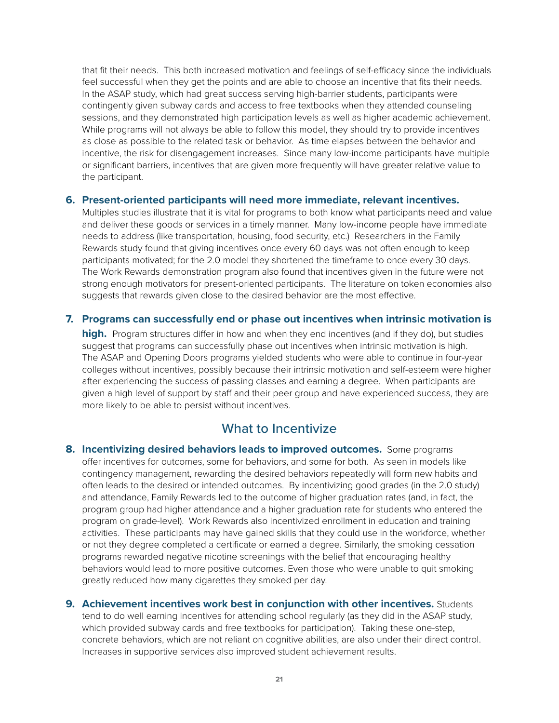that fit their needs. This both increased motivation and feelings of self-efficacy since the individuals feel successful when they get the points and are able to choose an incentive that fits their needs. In the ASAP study, which had great success serving high-barrier students, participants were contingently given subway cards and access to free textbooks when they attended counseling sessions, and they demonstrated high participation levels as well as higher academic achievement. While programs will not always be able to follow this model, they should try to provide incentives as close as possible to the related task or behavior. As time elapses between the behavior and incentive, the risk for disengagement increases. Since many low-income participants have multiple or significant barriers, incentives that are given more frequently will have greater relative value to the participant.

#### **6. Present-oriented participants will need more immediate, relevant incentives.**

Multiples studies illustrate that it is vital for programs to both know what participants need and value and deliver these goods or services in a timely manner. Many low-income people have immediate needs to address (like transportation, housing, food security, etc.) Researchers in the Family Rewards study found that giving incentives once every 60 days was not often enough to keep participants motivated; for the 2.0 model they shortened the timeframe to once every 30 days. The Work Rewards demonstration program also found that incentives given in the future were not strong enough motivators for present-oriented participants. The literature on token economies also suggests that rewards given close to the desired behavior are the most effective.

#### **7. Programs can successfully end or phase out incentives when intrinsic motivation is**

**high.** Program structures differ in how and when they end incentives (and if they do), but studies suggest that programs can successfully phase out incentives when intrinsic motivation is high. The ASAP and Opening Doors programs yielded students who were able to continue in four-year colleges without incentives, possibly because their intrinsic motivation and self-esteem were higher after experiencing the success of passing classes and earning a degree. When participants are given a high level of support by staff and their peer group and have experienced success, they are more likely to be able to persist without incentives.

### What to Incentivize

- **8. Incentivizing desired behaviors leads to improved outcomes.** Some programs offer incentives for outcomes, some for behaviors, and some for both. As seen in models like contingency management, rewarding the desired behaviors repeatedly will form new habits and often leads to the desired or intended outcomes. By incentivizing good grades (in the 2.0 study) and attendance, Family Rewards led to the outcome of higher graduation rates (and, in fact, the program group had higher attendance and a higher graduation rate for students who entered the program on grade-level). Work Rewards also incentivized enrollment in education and training activities. These participants may have gained skills that they could use in the workforce, whether or not they degree completed a certificate or earned a degree. Similarly, the smoking cessation programs rewarded negative nicotine screenings with the belief that encouraging healthy behaviors would lead to more positive outcomes. Even those who were unable to quit smoking greatly reduced how many cigarettes they smoked per day.
- **9. Achievement incentives work best in conjunction with other incentives.** Students tend to do well earning incentives for attending school regularly (as they did in the ASAP study, which provided subway cards and free textbooks for participation). Taking these one-step, concrete behaviors, which are not reliant on cognitive abilities, are also under their direct control. Increases in supportive services also improved student achievement results.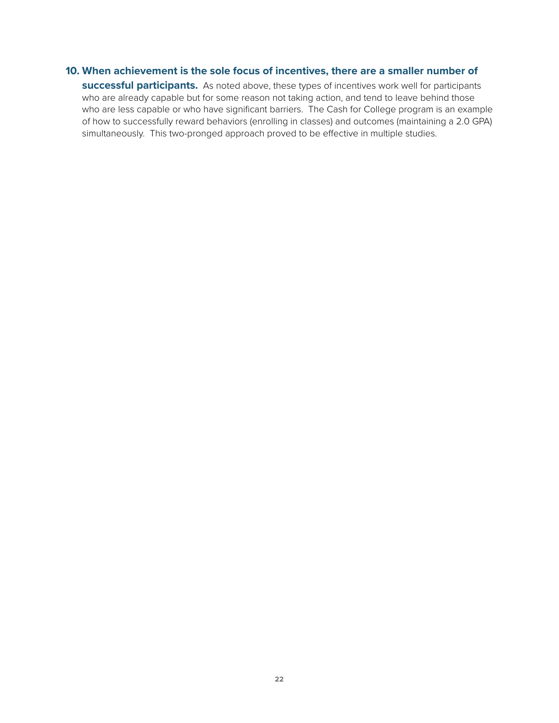#### **10. When achievement is the sole focus of incentives, there are a smaller number of**

**successful participants.** As noted above, these types of incentives work well for participants who are already capable but for some reason not taking action, and tend to leave behind those who are less capable or who have significant barriers. The Cash for College program is an example of how to successfully reward behaviors (enrolling in classes) and outcomes (maintaining a 2.0 GPA) simultaneously. This two-pronged approach proved to be effective in multiple studies.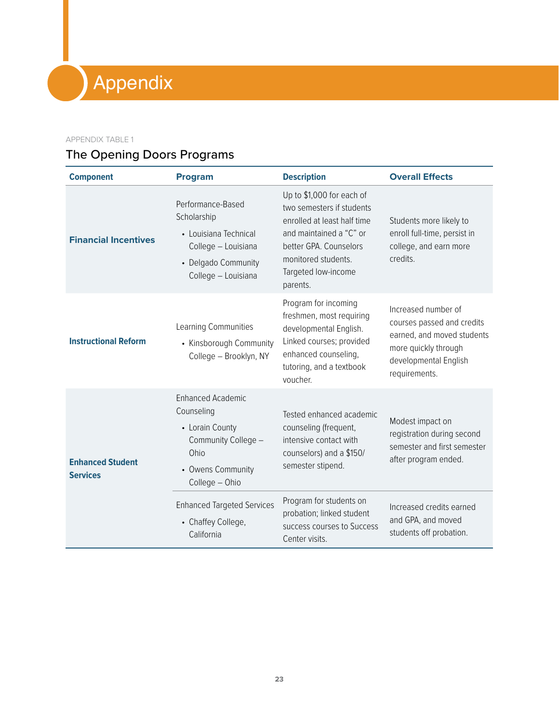# Appendix

#### APPENDIX TABLE 1

### The Opening Doors Programs

| <b>Component</b>                           | <b>Program</b>                                                                                                                                                                             | <b>Description</b>                                                                                                                                                                                   | <b>Overall Effects</b>                                                                                                                                  |
|--------------------------------------------|--------------------------------------------------------------------------------------------------------------------------------------------------------------------------------------------|------------------------------------------------------------------------------------------------------------------------------------------------------------------------------------------------------|---------------------------------------------------------------------------------------------------------------------------------------------------------|
| <b>Financial Incentives</b>                | Performance-Based<br>Scholarship<br>• Louisiana Technical<br>College - Louisiana<br>• Delgado Community<br>College - Louisiana                                                             | Up to \$1,000 for each of<br>two semesters if students<br>enrolled at least half time<br>and maintained a "C" or<br>better GPA. Counselors<br>monitored students.<br>Targeted low-income<br>parents. | Students more likely to<br>enroll full-time, persist in<br>college, and earn more<br>credits.                                                           |
| <b>Instructional Reform</b>                | Learning Communities<br>• Kinsborough Community<br>College - Brooklyn, NY                                                                                                                  | Program for incoming<br>freshmen, most requiring<br>developmental English.<br>Linked courses; provided<br>enhanced counseling,<br>tutoring, and a textbook<br>voucher.                               | Increased number of<br>courses passed and credits<br>earned, and moved students<br>more quickly through<br>developmental English<br>requirements.       |
| <b>Enhanced Student</b><br><b>Services</b> | <b>Enhanced Academic</b><br>Counseling<br>• Lorain County<br>Community College -<br>Ohio<br>• Owens Community<br>College - Ohio<br><b>Enhanced Targeted Services</b><br>• Chaffey College, | Tested enhanced academic<br>counseling (frequent,<br>intensive contact with<br>counselors) and a \$150/<br>semester stipend.<br>Program for students on<br>probation; linked student                 | Modest impact on<br>registration during second<br>semester and first semester<br>after program ended.<br>Increased credits earned<br>and GPA, and moved |
|                                            | California                                                                                                                                                                                 | success courses to Success<br>Center visits.                                                                                                                                                         | students off probation.                                                                                                                                 |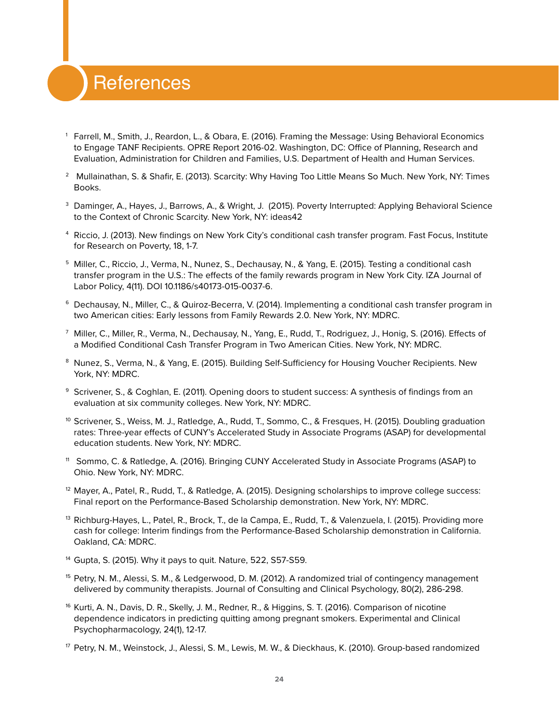### **References**

- <sup>1</sup> Farrell, M., Smith, J., Reardon, L., & Obara, E. (2016). Framing the Message: Using Behavioral Economics to Engage TANF Recipients. OPRE Report 2016-02. Washington, DC: Office of Planning, Research and Evaluation, Administration for Children and Families, U.S. Department of Health and Human Services.
- <sup>2</sup> Mullainathan, S. & Shafir, E. (2013). Scarcity: Why Having Too Little Means So Much. New York, NY: Times Books.
- <sup>3</sup> Daminger, A., Hayes, J., Barrows, A., & Wright, J. (2015). Poverty Interrupted: Applying Behavioral Science to the Context of Chronic Scarcity. New York, NY: ideas42
- <sup>4</sup> Riccio, J. (2013). New findings on New York City's conditional cash transfer program. Fast Focus, Institute for Research on Poverty, 18, 1-7.
- <sup>5</sup> Miller, C., Riccio, J., Verma, N., Nunez, S., Dechausay, N., & Yang, E. (2015). Testing a conditional cash transfer program in the U.S.: The effects of the family rewards program in New York City. IZA Journal of Labor Policy, 4(11). DOI 10.1186/s40173-015-0037-6.
- <sup>6</sup> Dechausay, N., Miller, C., & Quiroz-Becerra, V. (2014). Implementing a conditional cash transfer program in two American cities: Early lessons from Family Rewards 2.0. New York, NY: MDRC.
- <sup>7</sup> Miller, C., Miller, R., Verma, N., Dechausay, N., Yang, E., Rudd, T., Rodriguez, J., Honig, S. (2016). Effects of a Modified Conditional Cash Transfer Program in Two American Cities. New York, NY: MDRC.
- <sup>8</sup> Nunez, S., Verma, N., & Yang, E. (2015). Building Self-Sufficiency for Housing Voucher Recipients. New York, NY: MDRC.
- <sup>9</sup> Scrivener, S., & Coghlan, E. (2011). Opening doors to student success: A synthesis of findings from an evaluation at six community colleges. New York, NY: MDRC.
- <sup>10</sup> Scrivener, S., Weiss, M. J., Ratledge, A., Rudd, T., Sommo, C., & Fresques, H. (2015). Doubling graduation rates: Three-year effects of CUNY's Accelerated Study in Associate Programs (ASAP) for developmental education students. New York, NY: MDRC.
- <sup>11</sup> Sommo, C. & Ratledge, A. (2016). Bringing CUNY Accelerated Study in Associate Programs (ASAP) to Ohio. New York, NY: MDRC.
- <sup>12</sup> Mayer, A., Patel, R., Rudd, T., & Ratledge, A. (2015). Designing scholarships to improve college success: Final report on the Performance-Based Scholarship demonstration. New York, NY: MDRC.
- <sup>13</sup> Richburg-Hayes, L., Patel, R., Brock, T., de la Campa, E., Rudd, T., & Valenzuela, I. (2015). Providing more cash for college: Interim findings from the Performance-Based Scholarship demonstration in California. Oakland, CA: MDRC.
- <sup>14</sup> Gupta, S. (2015). Why it pays to quit. Nature, 522, S57-S59.
- <sup>15</sup> Petry, N. M., Alessi, S. M., & Ledgerwood, D. M. (2012). A randomized trial of contingency management delivered by community therapists. Journal of Consulting and Clinical Psychology, 80(2), 286-298.
- <sup>16</sup> Kurti, A. N., Davis, D. R., Skelly, J. M., Redner, R., & Higgins, S. T. (2016). Comparison of nicotine dependence indicators in predicting quitting among pregnant smokers. Experimental and Clinical Psychopharmacology, 24(1), 12-17.
- <sup>17</sup> Petry, N. M., Weinstock, J., Alessi, S. M., Lewis, M. W., & Dieckhaus, K. (2010). Group-based randomized